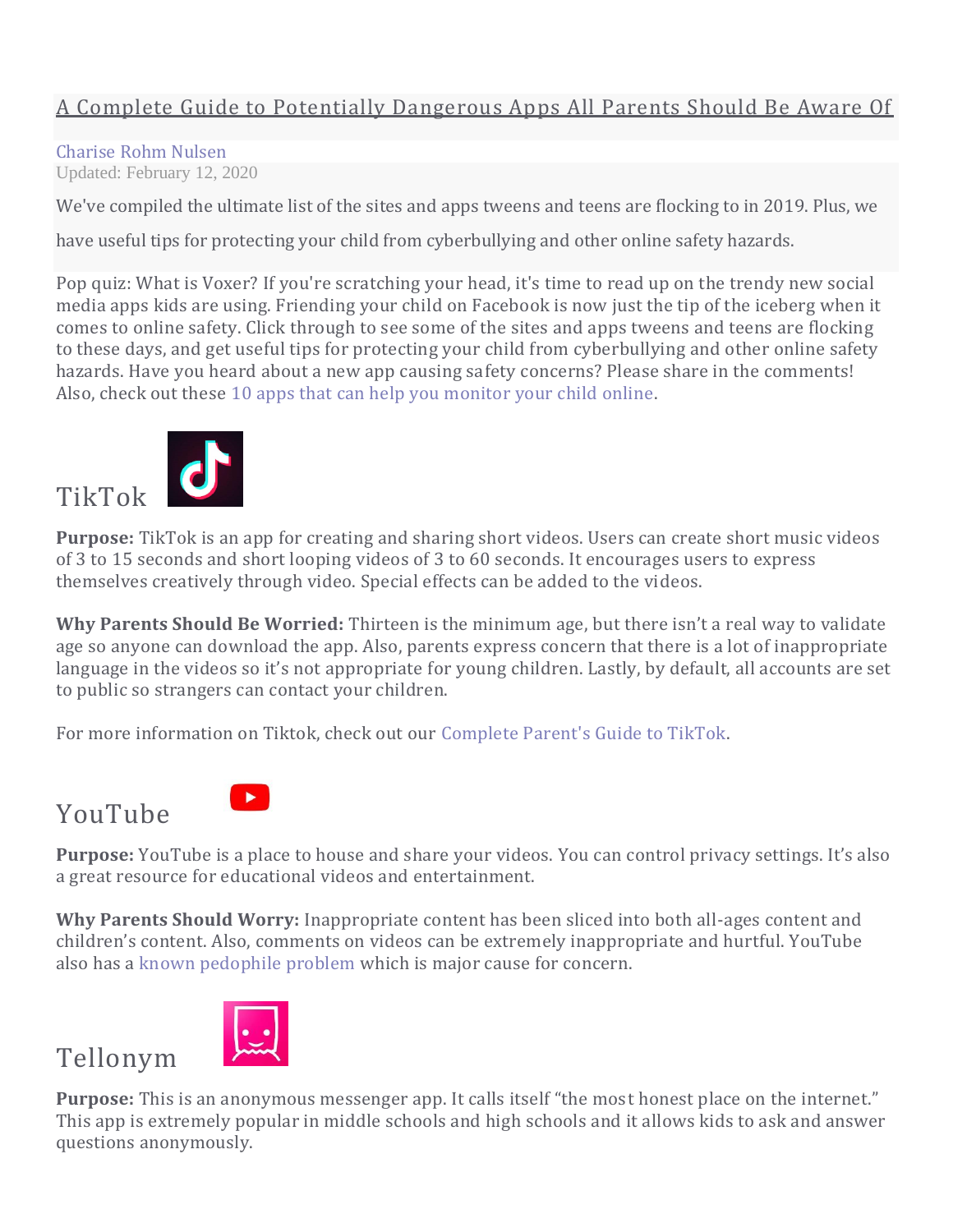#### A Complete Guide to Potentially Dangerous Apps All Parents Should Be Aware Of

#### [Charise Rohm Nulsen](https://www.familyeducation.com/authors/charise-rohm-nulsen)

Updated: February 12, 2020

We've compiled the ultimate list of the sites and apps tweens and teens are flocking to in 2019. Plus, we

have useful tips for protecting your child from cyberbullying and other online safety hazards.

Pop quiz: What is Voxer? If you're scratching your head, it's time to read up on the trendy new social media apps kids are using. Friending your child on Facebook is now just the tip of the iceberg when it comes to online safety. Click through to see some of the sites and apps tweens and teens are flocking to these days, and get useful tips for protecting your child from cyberbullying and other online safety hazards. Have you heard about a new app causing safety concerns? Please share in the comments! Also, check out these [10 apps that can help you monitor your child online.](https://www.familyeducation.com/fun/mobile-apps/10-apps-parents-monitor-kids-mobile-use)



**Purpose:** TikTok is an app for creating and sharing short videos. Users can create short music videos of 3 to 15 seconds and short looping videos of 3 to 60 seconds. It encourages users to express themselves creatively through video. Special effects can be added to the videos.

**Why Parents Should Be Worried:** Thirteen is the minimum age, but there isn't a real way to validate age so anyone can download the app. Also, parents express concern that there is a lot of inappropriate language in the videos so it's not appropriate for young children. Lastly, by default, all accounts are set to public so strangers can contact your children.

For more information on Tiktok, check out our [Complete Parent's Guide to TikTok.](https://www.familyeducation.com/teens/what-is-tiktok-a-helpful-guide-for-parents-of-teens)

### YouTube



**Purpose:** YouTube is a place to house and share your videos. You can control privacy settings. It's also a great resource for educational videos and entertainment.

**Why Parents Should Worry:** Inappropriate content has been sliced into both all-ages content and children's content. Also, comments on videos can be extremely inappropriate and hurtful. YouTube also has a [known pedophile problem](https://coolmomtech.com/2019/02/what-parents-need-to-know-about-youtube-pedophile-problem/) which is major cause for concern.

# Tellonym



**Purpose:** This is an anonymous messenger app. It calls itself "the most honest place on the internet." This app is extremely popular in middle schools and high schools and it allows kids to ask and answer questions anonymously.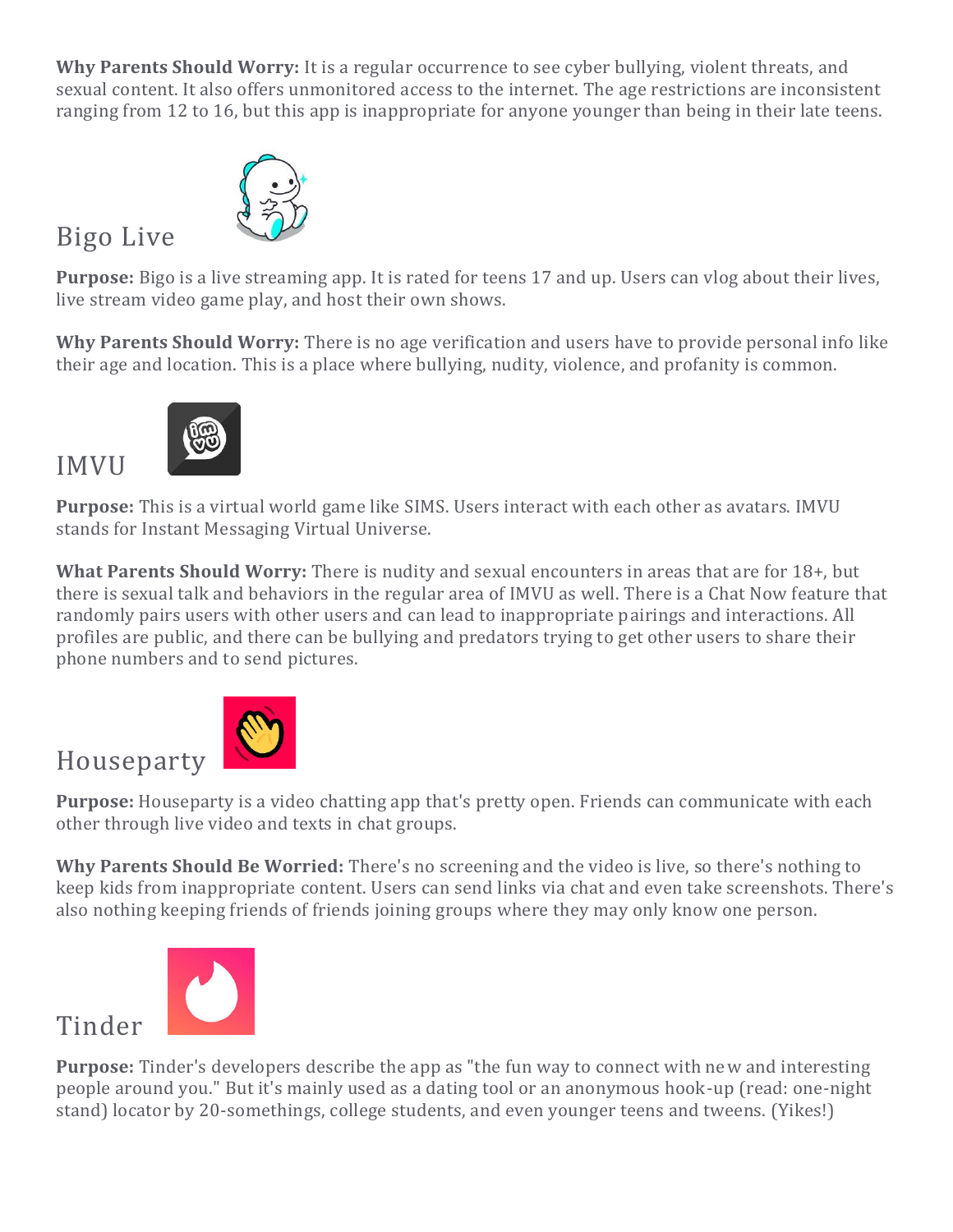**Why Parents Should Worry:** It is a regular occurrence to see cyber bullying, violent threats, and sexual content. It also offers unmonitored access to the internet. The age restrictions are inconsistent ranging from 12 to 16, but this app is inappropriate for anyone younger than being in their late teens.



# Bigo Live

IMVU

**Purpose:** Bigo is a live streaming app. It is rated for teens 17 and up. Users can vlog about their lives, live stream video game play, and host their own shows.

**Why Parents Should Worry:** There is no age verification and users have to provide personal info like their age and location. This is a place where bullying, nudity, violence, and profanity is common.



**Purpose:** This is a virtual world game like SIMS. Users interact with each other as avatars. IMVU stands for Instant Messaging Virtual Universe.

**What Parents Should Worry:** There is nudity and sexual encounters in areas that are for 18+, but there is sexual talk and behaviors in the regular area of IMVU as well. There is a Chat Now feature that randomly pairs users with other users and can lead to inappropriate pairings and interactions. All profiles are public, and there can be bullying and predators trying to get other users to share their phone numbers and to send pictures.



**Purpose:** Houseparty is a video chatting app that's pretty open. Friends can communicate with each other through live video and texts in chat groups.

**Why Parents Should Be Worried:** There's no screening and the video is live, so there's nothing to keep kids from inappropriate content. Users can send links via chat and even take screenshots. There's also nothing keeping friends of friends joining groups where they may only know one person.



**Purpose:** Tinder's developers describe the app as "the fun way to connect with new and interesting people around you." But it's mainly used as a dating tool or an anonymous hook-up (read: one-night stand) locator by 20-somethings, college students, and even younger teens and tweens. (Yikes!)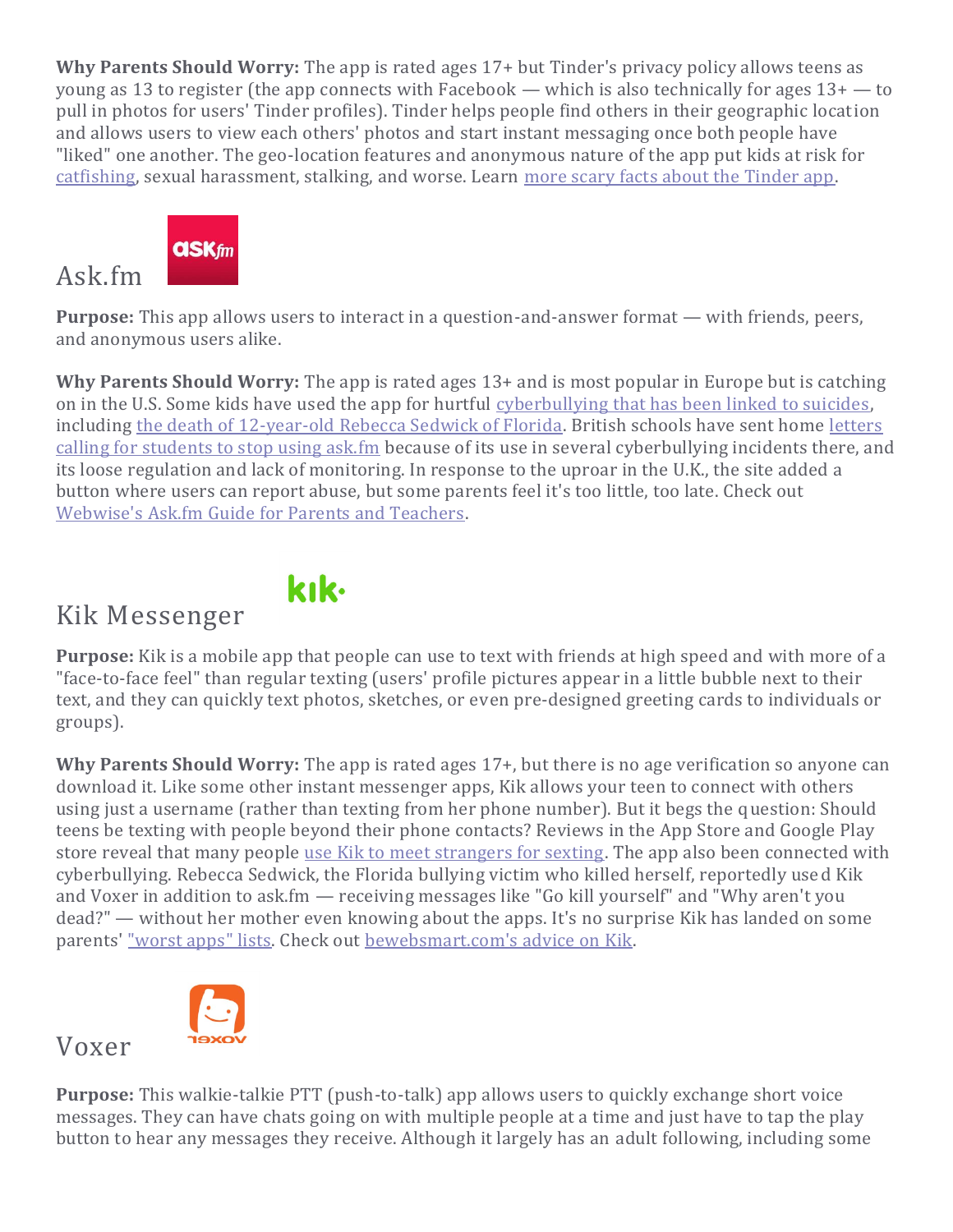**Why Parents Should Worry:** The app is rated ages 17+ but Tinder's privacy policy allows teens as young as 13 to register (the app connects with Facebook — which is also technically for ages 13+ — to pull in photos for users' Tinder profiles). Tinder helps people find others in their geographic location and allows users to view each others' photos and start instant messaging once both people have "liked" one another. The geo-location features and anonymous nature of the app put kids at risk for [catfishing,](https://www.familyeducation.com/life/internet-safety/8-tips-protect-your-kids-catfishing-online) sexual harassment, stalking, and worse. Learn [more scary facts about the Tinder app.](http://www.chicagonow.com/tween-us/2014/01/tinder-app-parents-facts-scary/)

# **askfm**

#### Ask.fm

**Purpose:** This app allows users to interact in a question-and-answer format — with friends, peers, and anonymous users alike.

**Why Parents Should Worry:** The app is rated ages 13+ and is most popular in Europe but is catching on in the U.S. Some kids have used the app for hurtful [cyberbullying that has been linked to suicides,](http://www.businessinsider.com/askfm-and-teen-suicides-2013-9)  including [the death of 12-year-old Rebecca Sedwick of Florida.](http://www.nytimes.com/2013/09/14/us/suicide-of-girl-after-bullying-raises-worries-on-web-sites.html?_r=1&) British schools have sent home [letters](http://www.dailymail.co.uk/news/article-2261588/Ask-fm-Pupils-parents-warned-social-networking-website-linked-teen-abuse.html)  [calling for students to stop using ask.fm](http://www.dailymail.co.uk/news/article-2261588/Ask-fm-Pupils-parents-warned-social-networking-website-linked-teen-abuse.html) because of its use in several cyberbullying incidents there, and its loose regulation and lack of monitoring. In response to the uproar in the U.K., the site added a button where users can report abuse, but some parents feel it's too little, too late. Check out [Webwise's Ask.fm Guide for Parents and Teachers.](http://www.webwise.ie/)

# kık.

Kik Messenger

**Purpose:** Kik is a mobile app that people can use to text with friends at high speed and with more of a "face-to-face feel" than regular texting (users' profile pictures appear in a little bubble next to their text, and they can quickly text photos, sketches, or even pre-designed greeting cards to individuals or groups).

**Why Parents Should Worry:** The app is rated ages 17+, but there is no age verification so anyone can download it. Like some other instant messenger apps, Kik allows your teen to connect with others using just a username (rather than texting from her phone number). But it begs the question: Should teens be texting with people beyond their phone contacts? Reviews in the App Store and Google Play store reveal that many people [use Kik to meet strangers for sexting.](http://www.bewebsmart.com/internet-safety/is-kik-okay-for-kids/) The app also been connected with cyberbullying. Rebecca Sedwick, the Florida bullying victim who killed herself, reportedly used Kik and Voxer in addition to ask.fm — receiving messages like "Go kill yourself" and "Why aren't you dead?" — without her mother even knowing about the apps. It's no surprise Kik has landed on some parents' ["worst apps" lists.](http://www.education.com/magazine/article/worst-apps-kids/) Check out [bewebsmart.com's advice on Kik.](http://www.bewebsmart.com/internet-safety/is-kik-okay-for-kids/)



Voxer

**Purpose:** This walkie-talkie PTT (push-to-talk) app allows users to quickly exchange short voice messages. They can have chats going on with multiple people at a time and just have to tap the play button to hear any messages they receive. Although it largely has an adult following, including some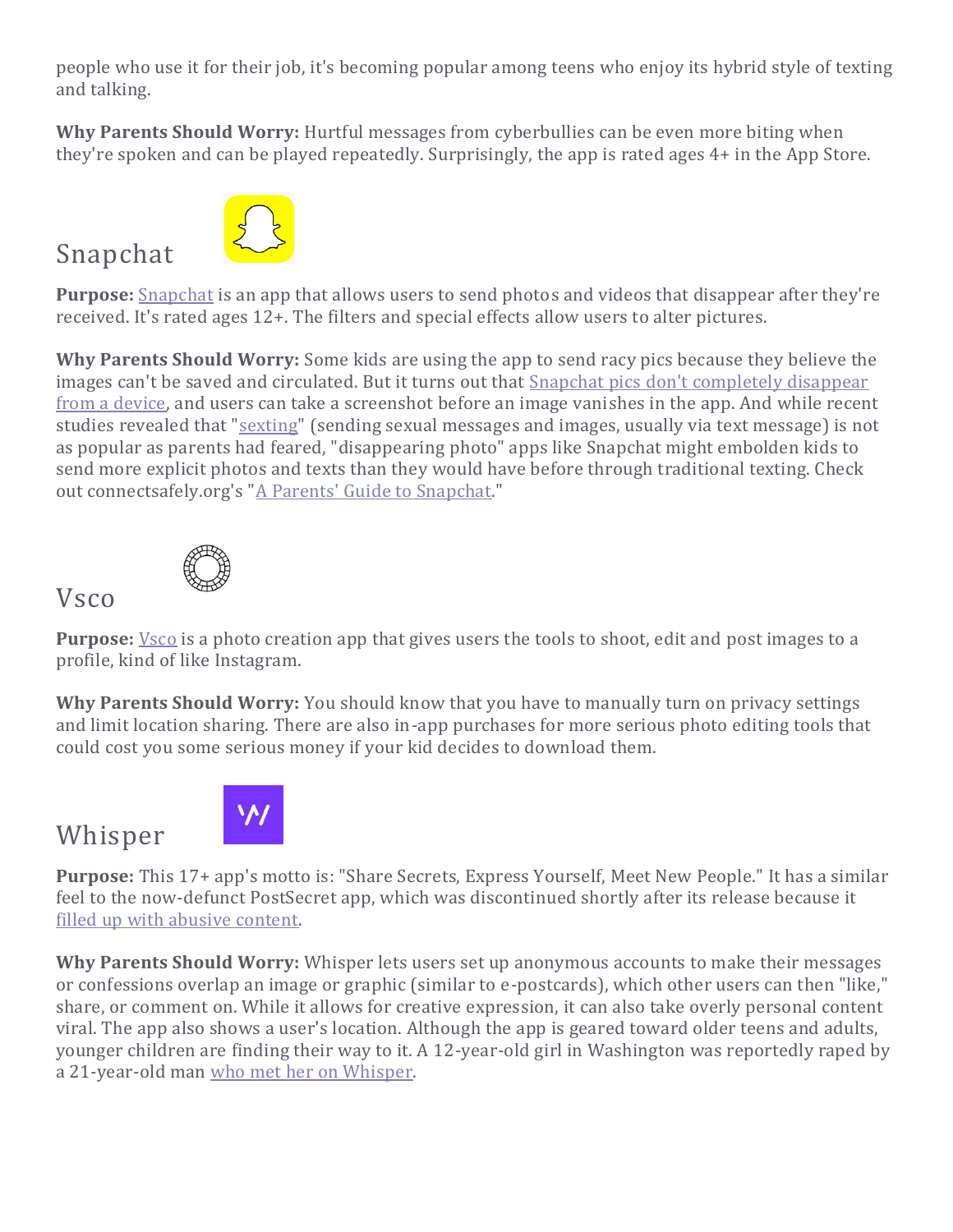people who use it for their job, it's becoming popular among teens who enjoy its hybrid style of texting and talking.

**Why Parents Should Worry:** Hurtful messages from cyberbullies can be even more biting when they're spoken and can be played repeatedly. Surprisingly, the app is rated ages 4+ in the App Store.



**Purpose:** [Snapchat](https://www.familyeducation.com/snapchat-101-a-helpful-guide-for-parents-of-teens) is an app that allows users to send photos and videos that disappear after they're received. It's rated ages 12+. The filters and special effects allow users to alter pictures.

**Why Parents Should Worry:** Some kids are using the app to send racy pics because they believe the images can't be saved and circulated. But it turns out that Snapchat pics don't completely disappear [from a device,](http://www.thedailybeast.com/cheats/2013/05/09/snapchat-doesn-t-delete-photos.html) and users can take a screenshot before an image vanishes in the app. And while recent studies revealed that ["sexting"](https://www.familyeducation.com/what-to-do-if-you-catch-your-teen-sexting-a-step-by-step-guide) (sending sexual messages and images, usually via text message) is not as popular as parents had feared, "disappearing photo" apps like Snapchat might embolden kids to send more explicit photos and texts than they would have before through traditional texting. Check out connectsafely.org's ["A Parents' Guide to Snapchat."](http://www.connectsafely.org/wp-content/uploads/snapchat_guide.pdf)



Snapchat



**Purpose:** <u>[Vsco](https://www.familyeducation.com/teens/a-parents-guide-to-vsco)</u> is a photo creation app that gives users the tools to shoot, edit and post images to a profile, kind of like Instagram.

**Why Parents Should Worry:** You should know that you have to manually turn on privacy settings and limit location sharing. There are also in-app purchases for more serious photo editing tools that could cost you some serious money if your kid decides to download them.

## Whisper



**Purpose:** This 17+ app's motto is: "Share Secrets, Express Yourself, Meet New People." It has a similar feel to the now-defunct PostSecret app, which was discontinued shortly after its release because it [filled up with abusive content.](http://mashable.com/2012/01/02/postsecret-app-discontinued-because-of-malicious-posts/)

**Why Parents Should Worry:** Whisper lets users set up anonymous accounts to make their messages or confessions overlap an image or graphic (similar to e-postcards), which other users can then "like," share, or comment on. While it allows for creative expression, it can also take overly personal content viral. The app also shows a user's location. Although the app is geared toward older teens and adults, younger children are finding their way to it. A 12-year-old girl in Washington was reportedly raped by a 21-year-old man [who met her on Whisper.](http://q13fox.com/2013/10/10/man-charged-after-using-whisper-app-to-lure-teenage-girl/#axzz2vCiEI0zQ)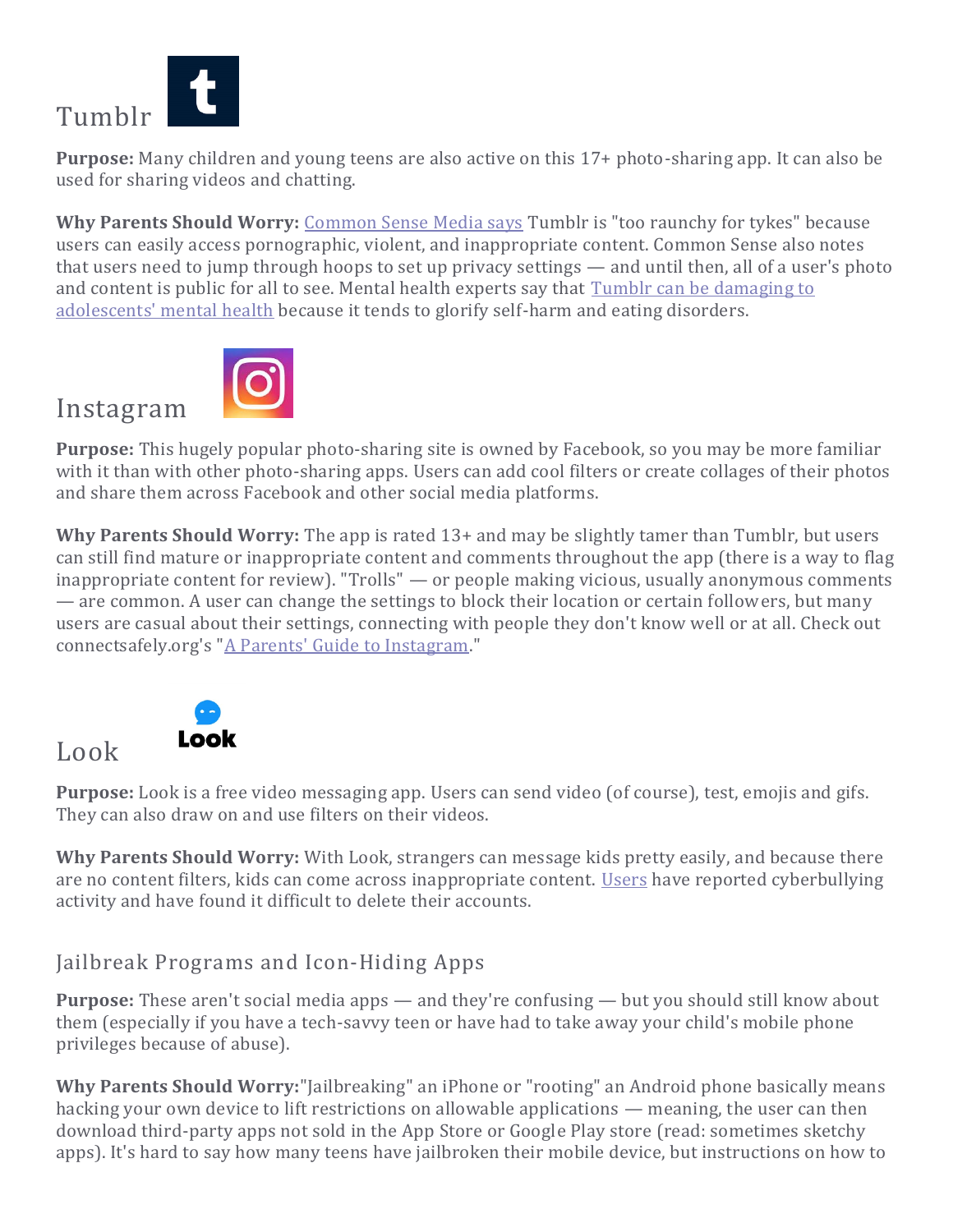

Instagram

**Purpose:** Many children and young teens are also active on this 17+ photo-sharing app. It can also be used for sharing videos and chatting.

Why Parents Should Worry: [Common Sense Media says](http://www.commonsensemedia.org/website-reviews/tumblr) Tumblr is "too raunchy for tykes" because users can easily access pornographic, violent, and inappropriate content. Common Sense also notes that users need to jump through hoops to set up privacy settings — and until then, all of a user's photo and content is public for all to see. Mental health experts say that Tumblr can be damaging to [adolescents' mental health](http://www.netnanny.com/blog/the-dark-side-of-tumblr/) because it tends to glorify self-harm and eating disorders.



**Purpose:** This hugely popular photo-sharing site is owned by Facebook, so you may be more familiar with it than with other photo-sharing apps. Users can add cool filters or create collages of their photos and share them across Facebook and other social media platforms.

**Why Parents Should Worry:** The app is rated 13+ and may be slightly tamer than Tumblr, but users can still find mature or inappropriate content and comments throughout the app (there is a way to flag inappropriate content for review). "Trolls" — or people making vicious, usually anonymous comments — are common. A user can change the settings to block their location or certain followers, but many users are casual about their settings, connecting with people they don't know well or at all. Check out connectsafely.org's ["A Parents' Guide to Instagram.](http://www.connectsafely.org/wp-content/uploads/instagram_guide.pdf)"





**Purpose:** Look is a free video messaging app. Users can send video (of course), test, emojis and gifs. They can also draw on and use filters on their videos.

**Why Parents Should Worry:** With Look, strangers can message kids pretty easily, and because there are no content filters, kids can come across inappropriate content. [Users](https://smartsocial.com/look-app-guide/) have reported cyberbullying activity and have found it difficult to delete their accounts.

#### Jailbreak Programs and Icon-Hiding Apps

**Purpose:** These aren't social media apps — and they're confusing — but you should still know about them (especially if you have a tech-savvy teen or have had to take away your child's mobile phone privileges because of abuse).

**Why Parents Should Worry:**"Jailbreaking" an iPhone or "rooting" an Android phone basically means hacking your own device to lift restrictions on allowable applications — meaning, the user can then download third-party apps not sold in the App Store or Google Play store (read: sometimes sketchy apps). It's hard to say how many teens have jailbroken their mobile device, but instructions on how to